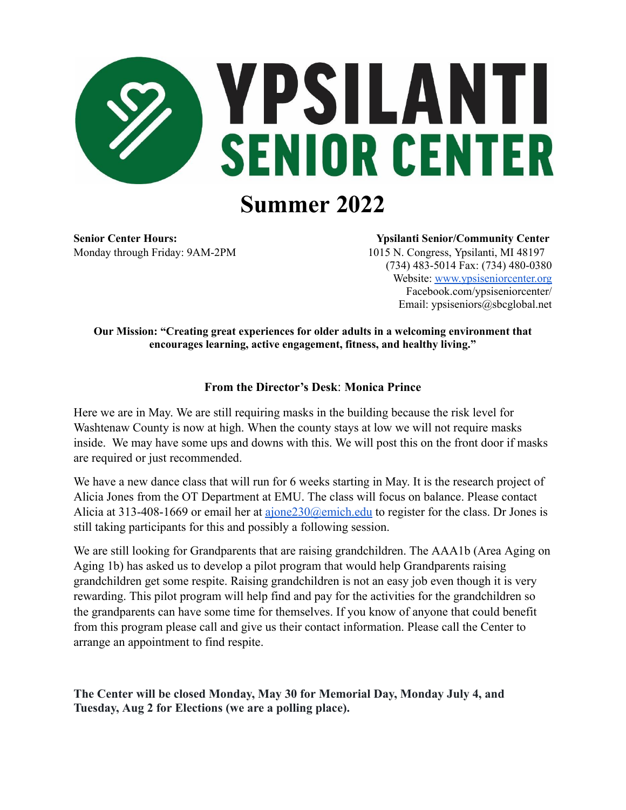

Monday through Friday: 9AM-2PM 1015 N. Congress, Ypsilanti, MI 48197

**Senior Center Hours: Ypsilanti Senior/Community Center**

(734) 483-5014 Fax: (734) 480-0380 Website: [www.ypsiseniorcenter.org](http://www.ypsiseniorcenter.org/) Facebook.com/ypsiseniorcenter/ Email: ypsiseniors@sbcglobal.net

**Our Mission: "Creating great experiences for older adults in a welcoming environment that encourages learning, active engagement, fitness, and healthy living."**

# **From the Director's Desk**: **Monica Prince**

Here we are in May. We are still requiring masks in the building because the risk level for Washtenaw County is now at high. When the county stays at low we will not require masks inside. We may have some ups and downs with this. We will post this on the front door if masks are required or just recommended.

We have a new dance class that will run for 6 weeks starting in May. It is the research project of Alicia Jones from the OT Department at EMU. The class will focus on balance. Please contact Alicia at 313-408-1669 or email her at ajone 230@emich.edu to register for the class. Dr Jones is still taking participants for this and possibly a following session.

We are still looking for Grandparents that are raising grandchildren. The AAA1b (Area Aging on Aging 1b) has asked us to develop a pilot program that would help Grandparents raising grandchildren get some respite. Raising grandchildren is not an easy job even though it is very rewarding. This pilot program will help find and pay for the activities for the grandchildren so the grandparents can have some time for themselves. If you know of anyone that could benefit from this program please call and give us their contact information. Please call the Center to arrange an appointment to find respite.

**The Center will be closed Monday, May 30 for Memorial Day, Monday July 4, and Tuesday, Aug 2 for Elections (we are a polling place).**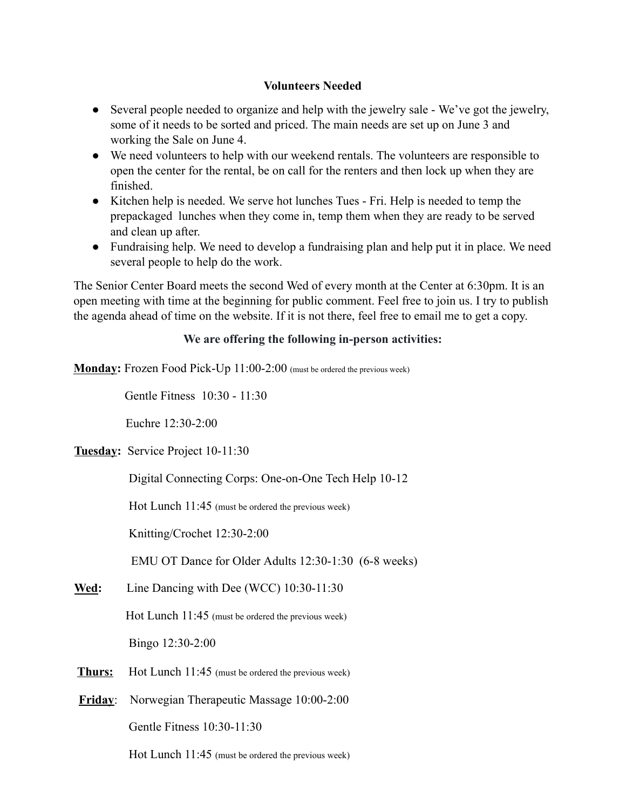# **Volunteers Needed**

- Several people needed to organize and help with the jewelry sale We've got the jewelry, some of it needs to be sorted and priced. The main needs are set up on June 3 and working the Sale on June 4.
- We need volunteers to help with our weekend rentals. The volunteers are responsible to open the center for the rental, be on call for the renters and then lock up when they are finished.
- Kitchen help is needed. We serve hot lunches Tues Fri. Help is needed to temp the prepackaged lunches when they come in, temp them when they are ready to be served and clean up after.
- Fundraising help. We need to develop a fundraising plan and help put it in place. We need several people to help do the work.

The Senior Center Board meets the second Wed of every month at the Center at 6:30pm. It is an open meeting with time at the beginning for public comment. Feel free to join us. I try to publish the agenda ahead of time on the website. If it is not there, feel free to email me to get a copy.

# **We are offering the following in-person activities:**

**Monday:** Frozen Food Pick-Up 11:00-2:00 (must be ordered the previous week)

Gentle Fitness 10:30 - 11:30

Euchre 12:30-2:00

**Tuesday:** Service Project 10-11:30

Digital Connecting Corps: One-on-One Tech Help 10-12

Hot Lunch 11:45 (must be ordered the previous week)

Knitting/Crochet 12:30-2:00

EMU OT Dance for Older Adults 12:30-1:30 (6-8 weeks)

**Wed:** Line Dancing with Dee (WCC) 10:30-11:30

Hot Lunch 11:45 (must be ordered the previous week)

Bingo 12:30-2:00

- **Thurs:** Hot Lunch 11:45 (must be ordered the previous week)
- **Friday**: Norwegian Therapeutic Massage 10:00-2:00

Gentle Fitness 10:30-11:30

Hot Lunch 11:45 (must be ordered the previous week)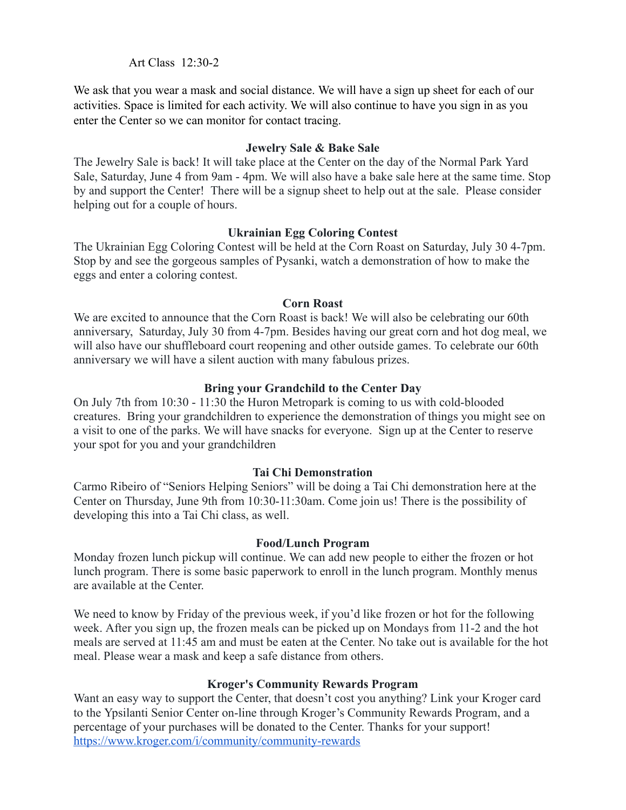# Art Class 12:30-2

We ask that you wear a mask and social distance. We will have a sign up sheet for each of our activities. Space is limited for each activity. We will also continue to have you sign in as you enter the Center so we can monitor for contact tracing.

## **Jewelry Sale & Bake Sale**

The Jewelry Sale is back! It will take place at the Center on the day of the Normal Park Yard Sale, Saturday, June 4 from 9am - 4pm. We will also have a bake sale here at the same time. Stop by and support the Center! There will be a signup sheet to help out at the sale. Please consider helping out for a couple of hours.

# **Ukrainian Egg Coloring Contest**

The Ukrainian Egg Coloring Contest will be held at the Corn Roast on Saturday, July 30 4-7pm. Stop by and see the gorgeous samples of Pysanki, watch a demonstration of how to make the eggs and enter a coloring contest.

# **Corn Roast**

We are excited to announce that the Corn Roast is back! We will also be celebrating our 60th anniversary, Saturday, July 30 from 4-7pm. Besides having our great corn and hot dog meal, we will also have our shuffleboard court reopening and other outside games. To celebrate our 60th anniversary we will have a silent auction with many fabulous prizes.

# **Bring your Grandchild to the Center Day**

On July 7th from 10:30 - 11:30 the Huron Metropark is coming to us with cold-blooded creatures. Bring your grandchildren to experience the demonstration of things you might see on a visit to one of the parks. We will have snacks for everyone. Sign up at the Center to reserve your spot for you and your grandchildren

# **Tai Chi Demonstration**

Carmo Ribeiro of "Seniors Helping Seniors" will be doing a Tai Chi demonstration here at the Center on Thursday, June 9th from 10:30-11:30am. Come join us! There is the possibility of developing this into a Tai Chi class, as well.

### **Food/Lunch Program**

Monday frozen lunch pickup will continue. We can add new people to either the frozen or hot lunch program. There is some basic paperwork to enroll in the lunch program. Monthly menus are available at the Center.

We need to know by Friday of the previous week, if you'd like frozen or hot for the following week. After you sign up, the frozen meals can be picked up on Mondays from 11-2 and the hot meals are served at 11:45 am and must be eaten at the Center. No take out is available for the hot meal. Please wear a mask and keep a safe distance from others.

# **Kroger's Community Rewards Program**

Want an easy way to support the Center, that doesn't cost you anything? Link your Kroger card to the Ypsilanti Senior Center on-line through Kroger's Community Rewards Program, and a percentage of your purchases will be donated to the Center. Thanks for your support! <https://www.kroger.com/i/community/community-rewards>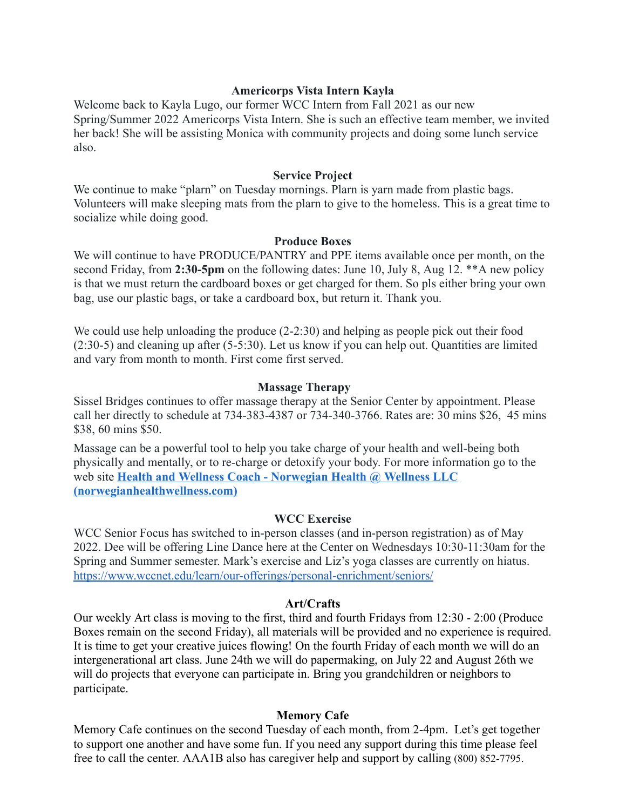### **Americorps Vista Intern Kayla**

Welcome back to Kayla Lugo, our former WCC Intern from Fall 2021 as our new Spring/Summer 2022 Americorps Vista Intern. She is such an effective team member, we invited her back! She will be assisting Monica with community projects and doing some lunch service also.

#### **Service Project**

We continue to make "plarn" on Tuesday mornings. Plarn is yarn made from plastic bags. Volunteers will make sleeping mats from the plarn to give to the homeless. This is a great time to socialize while doing good.

#### **Produce Boxes**

We will continue to have PRODUCE/PANTRY and PPE items available once per month, on the second Friday, from **2:30-5pm** on the following dates: June 10, July 8, Aug 12. \*\*A new policy is that we must return the cardboard boxes or get charged for them. So pls either bring your own bag, use our plastic bags, or take a cardboard box, but return it. Thank you.

We could use help unloading the produce (2-2:30) and helping as people pick out their food (2:30-5) and cleaning up after (5-5:30). Let us know if you can help out. Quantities are limited and vary from month to month. First come first served.

#### **Massage Therapy**

Sissel Bridges continues to offer massage therapy at the Senior Center by appointment. Please call her directly to schedule at 734-383-4387 or 734-340-3766. Rates are: 30 mins \$26, 45 mins \$38, 60 mins \$50.

Massage can be a powerful tool to help you take charge of your health and well-being both physically and mentally, or to re-charge or detoxify your body. For more information go to the web site **[Health and Wellness Coach - Norwegian Health](https://norwegianhealthwellness.com/) @ Wellness LLC [\(norwegianhealthwellness.com\)](https://norwegianhealthwellness.com/)**

#### **WCC Exercise**

WCC Senior Focus has switched to in-person classes (and in-person registration) as of May 2022. Dee will be offering Line Dance here at the Center on Wednesdays 10:30-11:30am for the Spring and Summer semester. Mark's exercise and Liz's yoga classes are currently on hiatus. <https://www.wccnet.edu/learn/our-offerings/personal-enrichment/seniors/>

#### **Art/Crafts**

Our weekly Art class is moving to the first, third and fourth Fridays from 12:30 - 2:00 (Produce Boxes remain on the second Friday), all materials will be provided and no experience is required. It is time to get your creative juices flowing! On the fourth Friday of each month we will do an intergenerational art class. June 24th we will do papermaking, on July 22 and August 26th we will do projects that everyone can participate in. Bring you grandchildren or neighbors to participate.

#### **Memory Cafe**

Memory Cafe continues on the second Tuesday of each month, from 2-4pm. Let's get together to support one another and have some fun. If you need any support during this time please feel free to call the center. AAA1B also has caregiver help and support by calling (800) 852-7795.